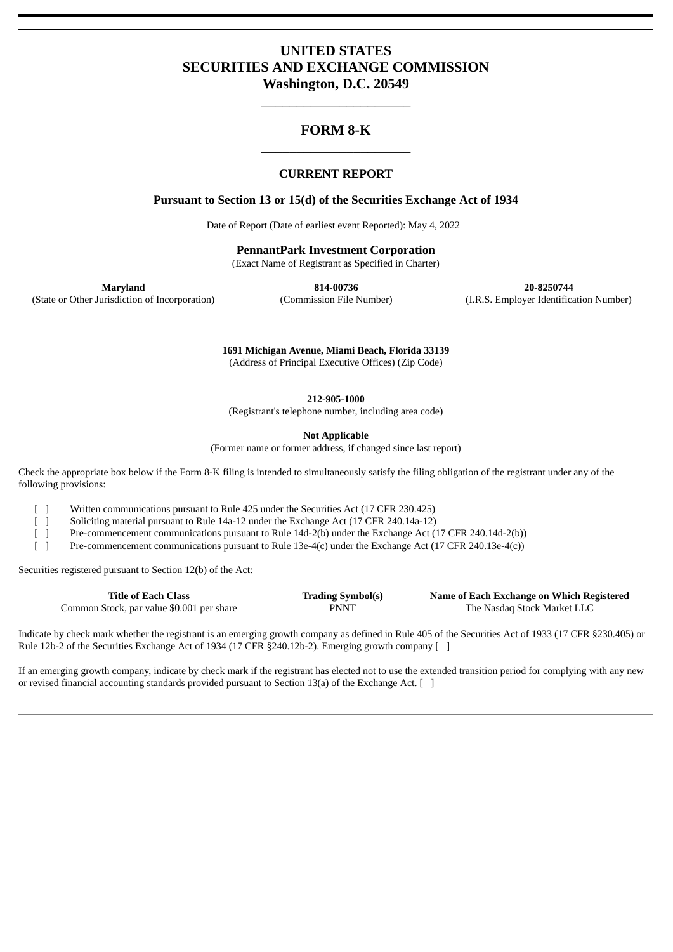# **UNITED STATES SECURITIES AND EXCHANGE COMMISSION Washington, D.C. 20549**

# **FORM 8-K** \_\_\_\_\_\_\_\_\_\_\_\_\_\_\_\_\_\_\_\_\_

\_\_\_\_\_\_\_\_\_\_\_\_\_\_\_\_\_\_\_\_\_

#### **CURRENT REPORT**

#### **Pursuant to Section 13 or 15(d) of the Securities Exchange Act of 1934**

Date of Report (Date of earliest event Reported): May 4, 2022

**PennantPark Investment Corporation**

(Exact Name of Registrant as Specified in Charter)

**Maryland 814-00736 20-8250744** (State or Other Jurisdiction of Incorporation) (Commission File Number) (I.R.S. Employer Identification Number)

> **1691 Michigan Avenue, Miami Beach, Florida 33139** (Address of Principal Executive Offices) (Zip Code)

> > **212-905-1000**

(Registrant's telephone number, including area code)

**Not Applicable**

(Former name or former address, if changed since last report)

Check the appropriate box below if the Form 8-K filing is intended to simultaneously satisfy the filing obligation of the registrant under any of the following provisions:

[ ] Written communications pursuant to Rule 425 under the Securities Act (17 CFR 230.425)

[ ] Soliciting material pursuant to Rule 14a-12 under the Exchange Act (17 CFR 240.14a-12)

[ ] Pre-commencement communications pursuant to Rule 14d-2(b) under the Exchange Act (17 CFR 240.14d-2(b))

[ ] Pre-commencement communications pursuant to Rule 13e-4(c) under the Exchange Act (17 CFR 240.13e-4(c))

Securities registered pursuant to Section 12(b) of the Act:

| Title of Each Class                       | <b>Trading Symbol(s)</b> | Name of Each Exchange on Which Registered |
|-------------------------------------------|--------------------------|-------------------------------------------|
| Common Stock, par value \$0.001 per share | PNNT                     | The Nasdag Stock Market LLC               |

Indicate by check mark whether the registrant is an emerging growth company as defined in Rule 405 of the Securities Act of 1933 (17 CFR §230.405) or Rule 12b-2 of the Securities Exchange Act of 1934 (17 CFR §240.12b-2). Emerging growth company [ ]

If an emerging growth company, indicate by check mark if the registrant has elected not to use the extended transition period for complying with any new or revised financial accounting standards provided pursuant to Section 13(a) of the Exchange Act. [ ]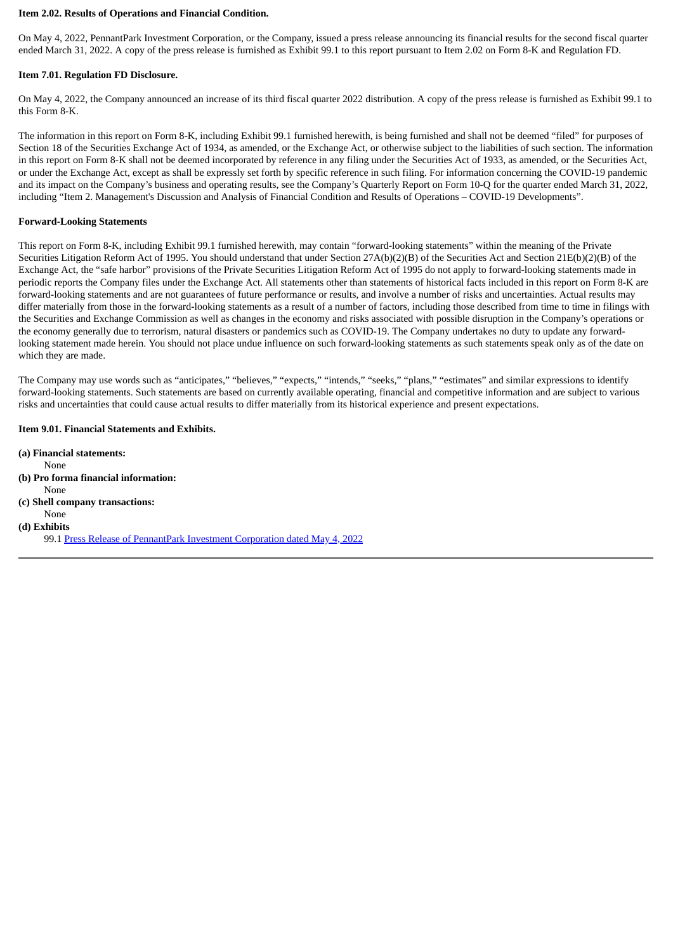#### **Item 2.02. Results of Operations and Financial Condition.**

On May 4, 2022, PennantPark Investment Corporation, or the Company, issued a press release announcing its financial results for the second fiscal quarter ended March 31, 2022. A copy of the press release is furnished as Exhibit 99.1 to this report pursuant to Item 2.02 on Form 8-K and Regulation FD.

#### **Item 7.01. Regulation FD Disclosure.**

On May 4, 2022, the Company announced an increase of its third fiscal quarter 2022 distribution. A copy of the press release is furnished as Exhibit 99.1 to this Form 8-K.

The information in this report on Form 8-K, including Exhibit 99.1 furnished herewith, is being furnished and shall not be deemed "filed" for purposes of Section 18 of the Securities Exchange Act of 1934, as amended, or the Exchange Act, or otherwise subject to the liabilities of such section. The information in this report on Form 8-K shall not be deemed incorporated by reference in any filing under the Securities Act of 1933, as amended, or the Securities Act, or under the Exchange Act, except as shall be expressly set forth by specific reference in such filing. For information concerning the COVID-19 pandemic and its impact on the Company's business and operating results, see the Company's Quarterly Report on Form 10-Q for the quarter ended March 31, 2022, including "Item 2. Management's Discussion and Analysis of Financial Condition and Results of Operations – COVID-19 Developments".

#### **Forward-Looking Statements**

This report on Form 8-K, including Exhibit 99.1 furnished herewith, may contain "forward-looking statements" within the meaning of the Private Securities Litigation Reform Act of 1995. You should understand that under Section 27A(b)(2)(B) of the Securities Act and Section 21E(b)(2)(B) of the Exchange Act, the "safe harbor" provisions of the Private Securities Litigation Reform Act of 1995 do not apply to forward-looking statements made in periodic reports the Company files under the Exchange Act. All statements other than statements of historical facts included in this report on Form 8-K are forward-looking statements and are not guarantees of future performance or results, and involve a number of risks and uncertainties. Actual results may differ materially from those in the forward-looking statements as a result of a number of factors, including those described from time to time in filings with the Securities and Exchange Commission as well as changes in the economy and risks associated with possible disruption in the Company's operations or the economy generally due to terrorism, natural disasters or pandemics such as COVID-19. The Company undertakes no duty to update any forwardlooking statement made herein. You should not place undue influence on such forward-looking statements as such statements speak only as of the date on which they are made.

The Company may use words such as "anticipates," "believes," "expects," "intends," "seeks," "plans," "estimates" and similar expressions to identify forward-looking statements. Such statements are based on currently available operating, financial and competitive information and are subject to various risks and uncertainties that could cause actual results to differ materially from its historical experience and present expectations.

#### **Item 9.01. Financial Statements and Exhibits.**

**(a) Financial statements:** None **(b) Pro forma financial information:** None **(c) Shell company transactions:** None **(d) Exhibits** 99.1 Press Release of [PennantPark](#page-3-0) Investment Corporation dated May 4, 2022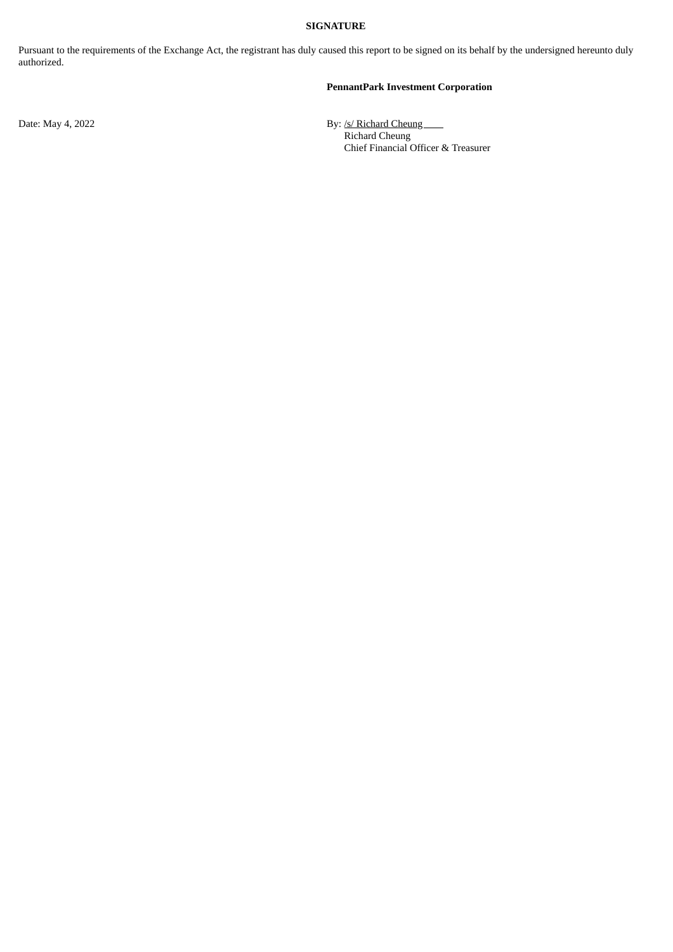#### **SIGNATURE**

Pursuant to the requirements of the Exchange Act, the registrant has duly caused this report to be signed on its behalf by the undersigned hereunto duly authorized.

#### **PennantPark Investment Corporation**

Date: May 4, 2022 **By:** /s/ Richard Cheung Richard Cheung Chief Financial Officer & Treasurer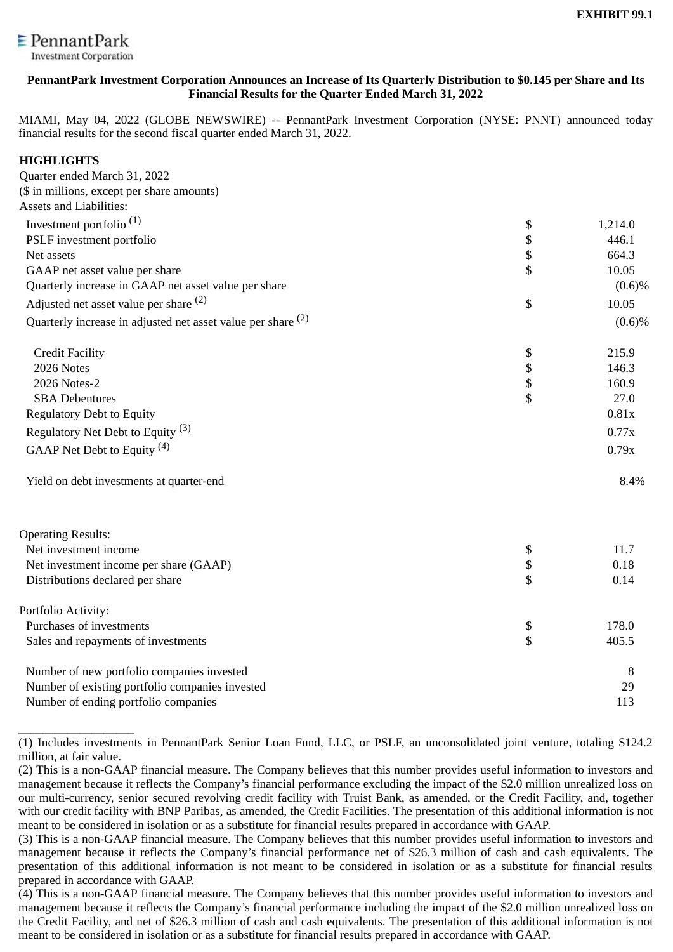<span id="page-3-0"></span>

### **PennantPark Investment Corporation Announces an Increase of Its Quarterly Distribution to \$0.145 per Share and Its Financial Results for the Quarter Ended March 31, 2022**

MIAMI, May 04, 2022 (GLOBE NEWSWIRE) -- PennantPark Investment Corporation (NYSE: PNNT) announced today financial results for the second fiscal quarter ended March 31, 2022.

# **HIGHLIGHTS**

\_\_\_\_\_\_\_\_\_\_\_\_\_\_\_\_\_\_\_

| Quarter ended March 31, 2022                                 |          |           |
|--------------------------------------------------------------|----------|-----------|
| (\$ in millions, except per share amounts)                   |          |           |
| <b>Assets and Liabilities:</b>                               |          |           |
| Investment portfolio <sup>(1)</sup>                          | \$       | 1,214.0   |
| PSLF investment portfolio                                    | \$       | 446.1     |
| Net assets                                                   | \$       | 664.3     |
| GAAP net asset value per share                               | \$       | 10.05     |
| Quarterly increase in GAAP net asset value per share         |          | $(0.6)\%$ |
| Adjusted net asset value per share (2)                       | \$       | 10.05     |
| Quarterly increase in adjusted net asset value per share (2) |          | $(0.6)\%$ |
| <b>Credit Facility</b>                                       | \$       | 215.9     |
| 2026 Notes                                                   |          | 146.3     |
| 2026 Notes-2                                                 | \$<br>\$ | 160.9     |
| <b>SBA Debentures</b>                                        | \$       | 27.0      |
| <b>Regulatory Debt to Equity</b>                             |          | 0.81x     |
| Regulatory Net Debt to Equity <sup>(3)</sup>                 |          | 0.77x     |
| GAAP Net Debt to Equity <sup>(4)</sup>                       |          | 0.79x     |
| Yield on debt investments at quarter-end                     |          | 8.4%      |
| <b>Operating Results:</b>                                    |          |           |
| Net investment income                                        | \$       | 11.7      |
| Net investment income per share (GAAP)                       | \$       | 0.18      |
| Distributions declared per share                             | \$       | 0.14      |
| Portfolio Activity:                                          |          |           |
| Purchases of investments                                     | \$       | 178.0     |
| Sales and repayments of investments                          | \$       | 405.5     |
| Number of new portfolio companies invested                   |          | 8         |
| Number of existing portfolio companies invested              |          | 29        |
| Number of ending portfolio companies                         |          | 113       |

<sup>(1)</sup> Includes investments in PennantPark Senior Loan Fund, LLC, or PSLF, an unconsolidated joint venture, totaling \$124.2 million, at fair value.

<sup>(2)</sup> This is a non-GAAP financial measure. The Company believes that this number provides useful information to investors and management because it reflects the Company's financial performance excluding the impact of the \$2.0 million unrealized loss on our multi-currency, senior secured revolving credit facility with Truist Bank, as amended, or the Credit Facility, and, together with our credit facility with BNP Paribas, as amended, the Credit Facilities. The presentation of this additional information is not meant to be considered in isolation or as a substitute for financial results prepared in accordance with GAAP.

<sup>(3)</sup> This is a non-GAAP financial measure. The Company believes that this number provides useful information to investors and management because it reflects the Company's financial performance net of \$26.3 million of cash and cash equivalents. The presentation of this additional information is not meant to be considered in isolation or as a substitute for financial results prepared in accordance with GAAP.

<sup>(4)</sup> This is a non-GAAP financial measure. The Company believes that this number provides useful information to investors and management because it reflects the Company's financial performance including the impact of the \$2.0 million unrealized loss on the Credit Facility, and net of \$26.3 million of cash and cash equivalents. The presentation of this additional information is not meant to be considered in isolation or as a substitute for financial results prepared in accordance with GAAP.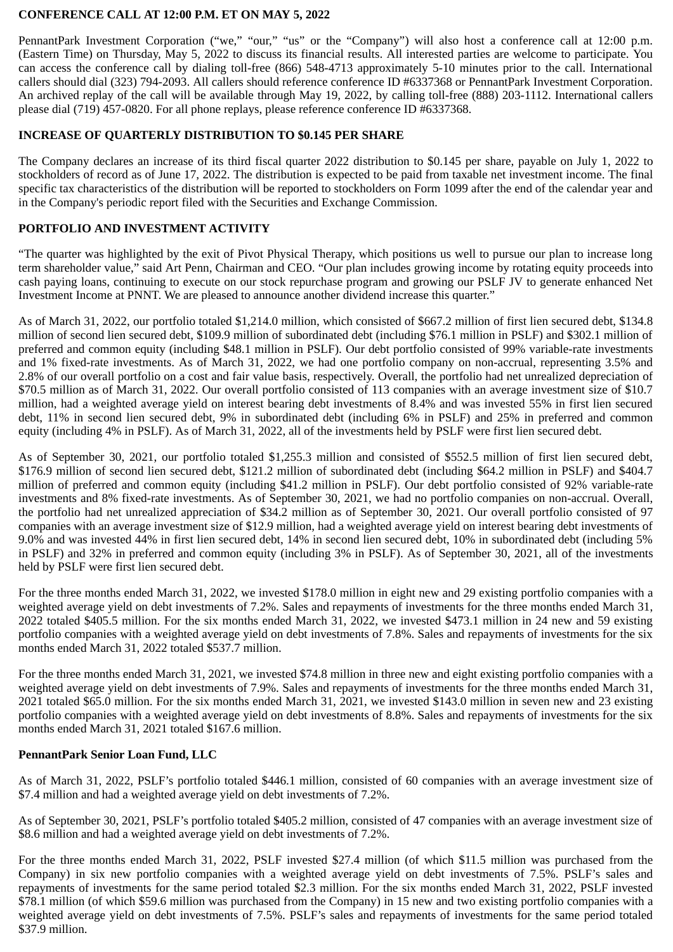### **CONFERENCE CALL AT 12:00 P.M. ET ON MAY 5, 2022**

PennantPark Investment Corporation ("we," "our," "us" or the "Company") will also host a conference call at 12:00 p.m. (Eastern Time) on Thursday, May 5, 2022 to discuss its financial results. All interested parties are welcome to participate. You can access the conference call by dialing toll-free (866) 548-4713 approximately 5-10 minutes prior to the call. International callers should dial (323) 794-2093. All callers should reference conference ID #6337368 or PennantPark Investment Corporation. An archived replay of the call will be available through May 19, 2022, by calling toll-free (888) 203-1112. International callers please dial (719) 457-0820. For all phone replays, please reference conference ID #6337368.

#### **INCREASE OF QUARTERLY DISTRIBUTION TO \$0.145 PER SHARE**

The Company declares an increase of its third fiscal quarter 2022 distribution to \$0.145 per share, payable on July 1, 2022 to stockholders of record as of June 17, 2022. The distribution is expected to be paid from taxable net investment income. The final specific tax characteristics of the distribution will be reported to stockholders on Form 1099 after the end of the calendar year and in the Company's periodic report filed with the Securities and Exchange Commission.

### **PORTFOLIO AND INVESTMENT ACTIVITY**

"The quarter was highlighted by the exit of Pivot Physical Therapy, which positions us well to pursue our plan to increase long term shareholder value," said Art Penn, Chairman and CEO. "Our plan includes growing income by rotating equity proceeds into cash paying loans, continuing to execute on our stock repurchase program and growing our PSLF JV to generate enhanced Net Investment Income at PNNT. We are pleased to announce another dividend increase this quarter."

As of March 31, 2022, our portfolio totaled \$1,214.0 million, which consisted of \$667.2 million of first lien secured debt, \$134.8 million of second lien secured debt, \$109.9 million of subordinated debt (including \$76.1 million in PSLF) and \$302.1 million of preferred and common equity (including \$48.1 million in PSLF). Our debt portfolio consisted of 99% variable-rate investments and 1% fixed-rate investments. As of March 31, 2022, we had one portfolio company on non-accrual, representing 3.5% and 2.8% of our overall portfolio on a cost and fair value basis, respectively. Overall, the portfolio had net unrealized depreciation of \$70.5 million as of March 31, 2022. Our overall portfolio consisted of 113 companies with an average investment size of \$10.7 million, had a weighted average yield on interest bearing debt investments of 8.4% and was invested 55% in first lien secured debt, 11% in second lien secured debt, 9% in subordinated debt (including 6% in PSLF) and 25% in preferred and common equity (including 4% in PSLF). As of March 31, 2022, all of the investments held by PSLF were first lien secured debt.

As of September 30, 2021, our portfolio totaled \$1,255.3 million and consisted of \$552.5 million of first lien secured debt, \$176.9 million of second lien secured debt, \$121.2 million of subordinated debt (including \$64.2 million in PSLF) and \$404.7 million of preferred and common equity (including \$41.2 million in PSLF). Our debt portfolio consisted of 92% variable-rate investments and 8% fixed-rate investments. As of September 30, 2021, we had no portfolio companies on non-accrual. Overall, the portfolio had net unrealized appreciation of \$34.2 million as of September 30, 2021. Our overall portfolio consisted of 97 companies with an average investment size of \$12.9 million, had a weighted average yield on interest bearing debt investments of 9.0% and was invested 44% in first lien secured debt, 14% in second lien secured debt, 10% in subordinated debt (including 5% in PSLF) and 32% in preferred and common equity (including 3% in PSLF). As of September 30, 2021, all of the investments held by PSLF were first lien secured debt.

For the three months ended March 31, 2022, we invested \$178.0 million in eight new and 29 existing portfolio companies with a weighted average yield on debt investments of 7.2%. Sales and repayments of investments for the three months ended March 31, 2022 totaled \$405.5 million. For the six months ended March 31, 2022, we invested \$473.1 million in 24 new and 59 existing portfolio companies with a weighted average yield on debt investments of 7.8%. Sales and repayments of investments for the six months ended March 31, 2022 totaled \$537.7 million.

For the three months ended March 31, 2021, we invested \$74.8 million in three new and eight existing portfolio companies with a weighted average yield on debt investments of 7.9%. Sales and repayments of investments for the three months ended March 31, 2021 totaled \$65.0 million. For the six months ended March 31, 2021, we invested \$143.0 million in seven new and 23 existing portfolio companies with a weighted average yield on debt investments of 8.8%. Sales and repayments of investments for the six months ended March 31, 2021 totaled \$167.6 million.

#### **PennantPark Senior Loan Fund, LLC**

As of March 31, 2022, PSLF's portfolio totaled \$446.1 million, consisted of 60 companies with an average investment size of \$7.4 million and had a weighted average yield on debt investments of 7.2%.

As of September 30, 2021, PSLF's portfolio totaled \$405.2 million, consisted of 47 companies with an average investment size of \$8.6 million and had a weighted average yield on debt investments of 7.2%.

For the three months ended March 31, 2022, PSLF invested \$27.4 million (of which \$11.5 million was purchased from the Company) in six new portfolio companies with a weighted average yield on debt investments of 7.5%. PSLF's sales and repayments of investments for the same period totaled \$2.3 million. For the six months ended March 31, 2022, PSLF invested \$78.1 million (of which \$59.6 million was purchased from the Company) in 15 new and two existing portfolio companies with a weighted average yield on debt investments of 7.5%. PSLF's sales and repayments of investments for the same period totaled \$37.9 million.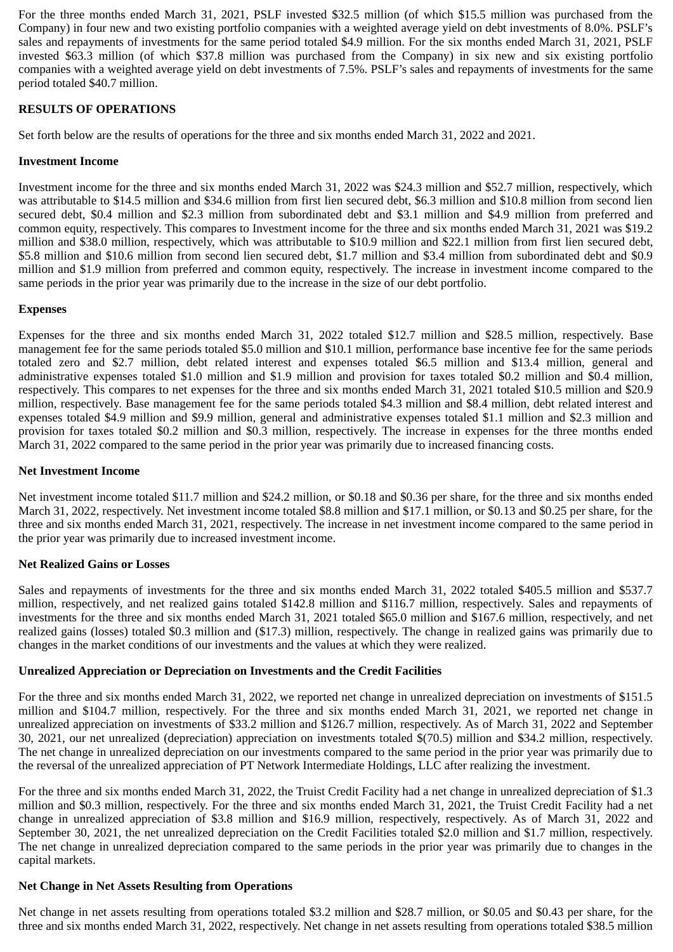For the three months ended March 31, 2021, PSLF invested \$32.5 million (of which \$15.5 million was purchased from the Company) in four new and two existing portfolio companies with a weighted average yield on debt investments of 8.0%. PSLF's sales and repayments of investments for the same period totaled \$4.9 million. For the six months ended March 31, 2021, PSLF invested \$63.3 million (of which \$37.8 million was purchased from the Company) in six new and six existing portfolio companies with a weighted average yield on debt investments of 7.5%. PSLF's sales and repayments of investments for the same period totaled \$40.7 million.

# **RESULTS OF OPERATIONS**

Set forth below are the results of operations for the three and six months ended March 31, 2022 and 2021.

#### **Investment Income**

Investment income for the three and six months ended March 31, 2022 was \$24.3 million and \$52.7 million, respectively, which was attributable to \$14.5 million and \$34.6 million from first lien secured debt, \$6.3 million and \$10.8 million from second lien secured debt, \$0.4 million and \$2.3 million from subordinated debt and \$3.1 million and \$4.9 million from preferred and common equity, respectively. This compares to Investment income for the three and six months ended March 31, 2021 was \$19.2 million and \$38.0 million, respectively, which was attributable to \$10.9 million and \$22.1 million from first lien secured debt, \$5.8 million and \$10.6 million from second lien secured debt, \$1.7 million and \$3.4 million from subordinated debt and \$0.9 million and \$1.9 million from preferred and common equity, respectively. The increase in investment income compared to the same periods in the prior year was primarily due to the increase in the size of our debt portfolio.

### **Expenses**

Expenses for the three and six months ended March 31, 2022 totaled \$12.7 million and \$28.5 million, respectively. Base management fee for the same periods totaled \$5.0 million and \$10.1 million, performance base incentive fee for the same periods totaled zero and \$2.7 million, debt related interest and expenses totaled \$6.5 million and \$13.4 million, general and administrative expenses totaled \$1.0 million and \$1.9 million and provision for taxes totaled \$0.2 million and \$0.4 million, respectively. This compares to net expenses for the three and six months ended March 31, 2021 totaled \$10.5 million and \$20.9 million, respectively. Base management fee for the same periods totaled \$4.3 million and \$8.4 million, debt related interest and expenses totaled \$4.9 million and \$9.9 million, general and administrative expenses totaled \$1.1 million and \$2.3 million and provision for taxes totaled \$0.2 million and \$0.3 million, respectively. The increase in expenses for the three months ended March 31, 2022 compared to the same period in the prior year was primarily due to increased financing costs.

#### **Net Investment Income**

Net investment income totaled \$11.7 million and \$24.2 million, or \$0.18 and \$0.36 per share, for the three and six months ended March 31, 2022, respectively. Net investment income totaled \$8.8 million and \$17.1 million, or \$0.13 and \$0.25 per share, for the three and six months ended March 31, 2021, respectively. The increase in net investment income compared to the same period in the prior year was primarily due to increased investment income.

#### **Net Realized Gains or Losses**

Sales and repayments of investments for the three and six months ended March 31, 2022 totaled \$405.5 million and \$537.7 million, respectively, and net realized gains totaled \$142.8 million and \$116.7 million, respectively. Sales and repayments of investments for the three and six months ended March 31, 2021 totaled \$65.0 million and \$167.6 million, respectively, and net realized gains (losses) totaled \$0.3 million and (\$17.3) million, respectively. The change in realized gains was primarily due to changes in the market conditions of our investments and the values at which they were realized.

# **Unrealized Appreciation or Depreciation on Investments and the Credit Facilities**

For the three and six months ended March 31, 2022, we reported net change in unrealized depreciation on investments of \$151.5 million and \$104.7 million, respectively. For the three and six months ended March 31, 2021, we reported net change in unrealized appreciation on investments of \$33.2 million and \$126.7 million, respectively. As of March 31, 2022 and September 30, 2021, our net unrealized (depreciation) appreciation on investments totaled \$(70.5) million and \$34.2 million, respectively. The net change in unrealized depreciation on our investments compared to the same period in the prior year was primarily due to the reversal of the unrealized appreciation of PT Network Intermediate Holdings, LLC after realizing the investment.

For the three and six months ended March 31, 2022, the Truist Credit Facility had a net change in unrealized depreciation of \$1.3 million and \$0.3 million, respectively. For the three and six months ended March 31, 2021, the Truist Credit Facility had a net change in unrealized appreciation of \$3.8 million and \$16.9 million, respectively, respectively. As of March 31, 2022 and September 30, 2021, the net unrealized depreciation on the Credit Facilities totaled \$2.0 million and \$1.7 million, respectively. The net change in unrealized depreciation compared to the same periods in the prior year was primarily due to changes in the capital markets.

#### **Net Change in Net Assets Resulting from Operations**

Net change in net assets resulting from operations totaled \$3.2 million and \$28.7 million, or \$0.05 and \$0.43 per share, for the three and six months ended March 31, 2022, respectively. Net change in net assets resulting from operations totaled \$38.5 million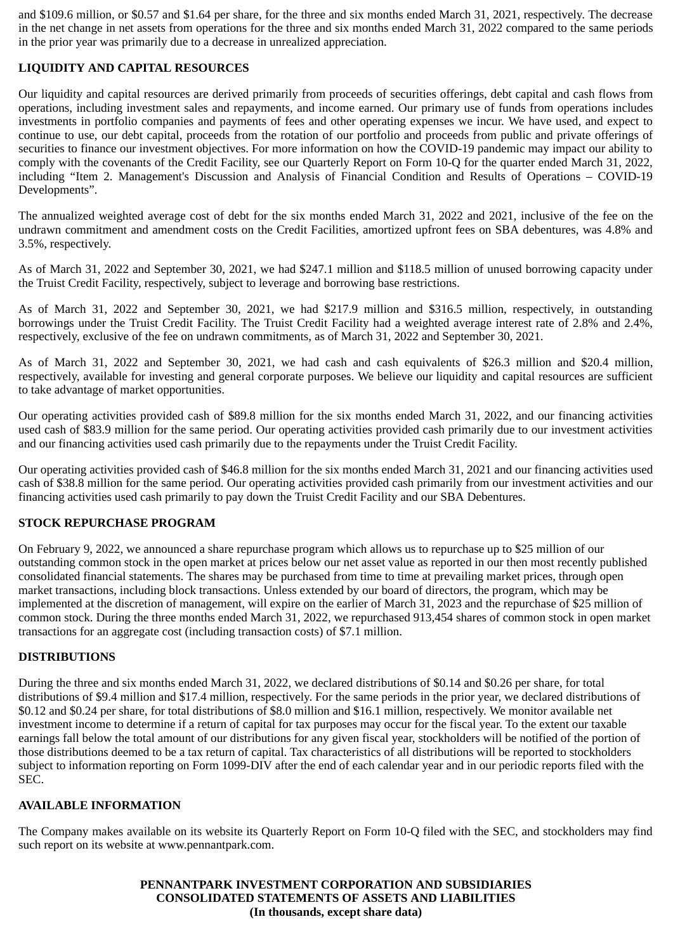and \$109.6 million, or \$0.57 and \$1.64 per share, for the three and six months ended March 31, 2021, respectively. The decrease in the net change in net assets from operations for the three and six months ended March 31, 2022 compared to the same periods in the prior year was primarily due to a decrease in unrealized appreciation.

# **LIQUIDITY AND CAPITAL RESOURCES**

Our liquidity and capital resources are derived primarily from proceeds of securities offerings, debt capital and cash flows from operations, including investment sales and repayments, and income earned. Our primary use of funds from operations includes investments in portfolio companies and payments of fees and other operating expenses we incur. We have used, and expect to continue to use, our debt capital, proceeds from the rotation of our portfolio and proceeds from public and private offerings of securities to finance our investment objectives. For more information on how the COVID-19 pandemic may impact our ability to comply with the covenants of the Credit Facility, see our Quarterly Report on Form 10-Q for the quarter ended March 31, 2022, including "Item 2. Management's Discussion and Analysis of Financial Condition and Results of Operations – COVID-19 Developments".

The annualized weighted average cost of debt for the six months ended March 31, 2022 and 2021, inclusive of the fee on the undrawn commitment and amendment costs on the Credit Facilities, amortized upfront fees on SBA debentures, was 4.8% and 3.5%, respectively.

As of March 31, 2022 and September 30, 2021, we had \$247.1 million and \$118.5 million of unused borrowing capacity under the Truist Credit Facility, respectively, subject to leverage and borrowing base restrictions.

As of March 31, 2022 and September 30, 2021, we had \$217.9 million and \$316.5 million, respectively, in outstanding borrowings under the Truist Credit Facility. The Truist Credit Facility had a weighted average interest rate of 2.8% and 2.4%, respectively, exclusive of the fee on undrawn commitments, as of March 31, 2022 and September 30, 2021.

As of March 31, 2022 and September 30, 2021, we had cash and cash equivalents of \$26.3 million and \$20.4 million, respectively, available for investing and general corporate purposes. We believe our liquidity and capital resources are sufficient to take advantage of market opportunities.

Our operating activities provided cash of \$89.8 million for the six months ended March 31, 2022, and our financing activities used cash of \$83.9 million for the same period. Our operating activities provided cash primarily due to our investment activities and our financing activities used cash primarily due to the repayments under the Truist Credit Facility.

Our operating activities provided cash of \$46.8 million for the six months ended March 31, 2021 and our financing activities used cash of \$38.8 million for the same period. Our operating activities provided cash primarily from our investment activities and our financing activities used cash primarily to pay down the Truist Credit Facility and our SBA Debentures.

#### **STOCK REPURCHASE PROGRAM**

On February 9, 2022, we announced a share repurchase program which allows us to repurchase up to \$25 million of our outstanding common stock in the open market at prices below our net asset value as reported in our then most recently published consolidated financial statements. The shares may be purchased from time to time at prevailing market prices, through open market transactions, including block transactions. Unless extended by our board of directors, the program, which may be implemented at the discretion of management, will expire on the earlier of March 31, 2023 and the repurchase of \$25 million of common stock. During the three months ended March 31, 2022, we repurchased 913,454 shares of common stock in open market transactions for an aggregate cost (including transaction costs) of \$7.1 million.

#### **DISTRIBUTIONS**

During the three and six months ended March 31, 2022, we declared distributions of \$0.14 and \$0.26 per share, for total distributions of \$9.4 million and \$17.4 million, respectively. For the same periods in the prior year, we declared distributions of \$0.12 and \$0.24 per share, for total distributions of \$8.0 million and \$16.1 million, respectively. We monitor available net investment income to determine if a return of capital for tax purposes may occur for the fiscal year. To the extent our taxable earnings fall below the total amount of our distributions for any given fiscal year, stockholders will be notified of the portion of those distributions deemed to be a tax return of capital. Tax characteristics of all distributions will be reported to stockholders subject to information reporting on Form 1099-DIV after the end of each calendar year and in our periodic reports filed with the SEC.

#### **AVAILABLE INFORMATION**

The Company makes available on its website its Quarterly Report on Form 10-Q filed with the SEC, and stockholders may find such report on its website at www.pennantpark.com.

### **PENNANTPARK INVESTMENT CORPORATION AND SUBSIDIARIES CONSOLIDATED STATEMENTS OF ASSETS AND LIABILITIES (In thousands, except share data)**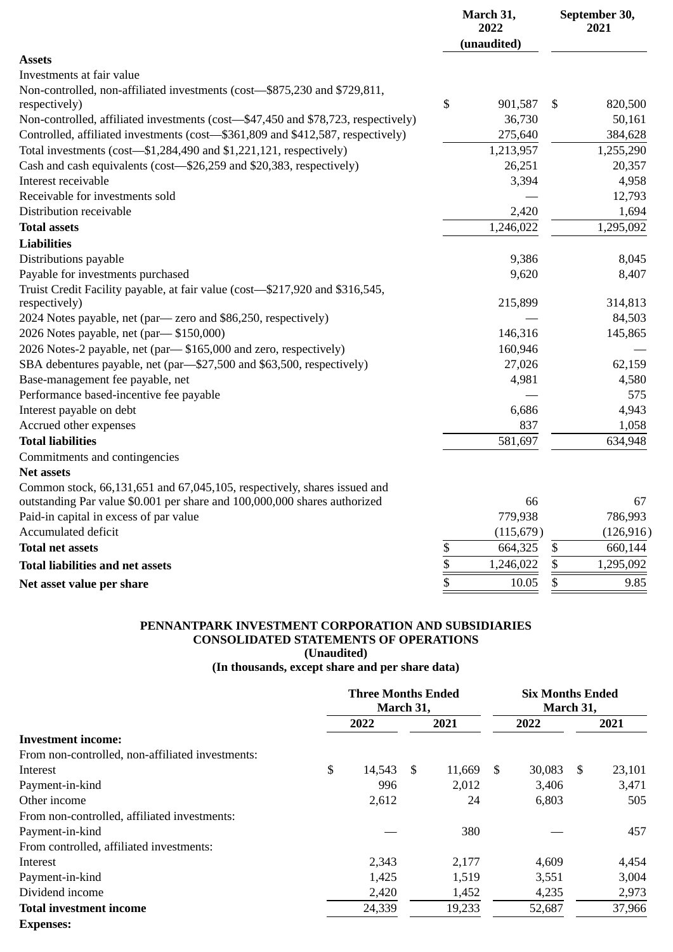|                                                                                   | March 31,<br>2022<br>(unaudited) |            |              | September 30,<br>2021 |
|-----------------------------------------------------------------------------------|----------------------------------|------------|--------------|-----------------------|
| <b>Assets</b>                                                                     |                                  |            |              |                       |
| Investments at fair value                                                         |                                  |            |              |                       |
| Non-controlled, non-affiliated investments (cost-\$875,230 and \$729,811,         |                                  |            |              |                       |
| respectively)                                                                     | \$                               | 901,587    | \$           | 820,500               |
| Non-controlled, affiliated investments (cost-\$47,450 and \$78,723, respectively) |                                  | 36,730     |              | 50,161                |
| Controlled, affiliated investments (cost-\$361,809 and \$412,587, respectively)   |                                  | 275,640    |              | 384,628               |
| Total investments (cost-\$1,284,490 and \$1,221,121, respectively)                |                                  | 1,213,957  |              | 1,255,290             |
| Cash and cash equivalents (cost-\$26,259 and \$20,383, respectively)              |                                  | 26,251     |              | 20,357                |
| Interest receivable                                                               |                                  | 3,394      |              | 4,958                 |
| Receivable for investments sold                                                   |                                  |            |              | 12,793                |
| Distribution receivable                                                           |                                  | 2,420      |              | 1,694                 |
| <b>Total assets</b>                                                               |                                  | 1,246,022  |              | 1,295,092             |
| <b>Liabilities</b>                                                                |                                  |            |              |                       |
| Distributions payable                                                             |                                  | 9,386      |              | 8,045                 |
| Payable for investments purchased                                                 |                                  | 9,620      |              | 8,407                 |
| Truist Credit Facility payable, at fair value (cost-\$217,920 and \$316,545,      |                                  |            |              |                       |
| respectively)                                                                     |                                  | 215,899    |              | 314,813               |
| 2024 Notes payable, net (par- zero and \$86,250, respectively)                    |                                  |            |              | 84,503                |
| 2026 Notes payable, net (par-\$150,000)                                           |                                  | 146,316    |              | 145,865               |
| 2026 Notes-2 payable, net (par-\$165,000 and zero, respectively)                  |                                  | 160,946    |              |                       |
| SBA debentures payable, net (par-\$27,500 and \$63,500, respectively)             |                                  | 27,026     |              | 62,159                |
| Base-management fee payable, net                                                  |                                  | 4,981      |              | 4,580                 |
| Performance based-incentive fee payable                                           |                                  |            |              | 575                   |
| Interest payable on debt                                                          |                                  | 6,686      |              | 4,943                 |
| Accrued other expenses                                                            |                                  | 837        |              | 1,058                 |
| <b>Total liabilities</b>                                                          |                                  | 581,697    |              | 634,948               |
| Commitments and contingencies                                                     |                                  |            |              |                       |
| Net assets                                                                        |                                  |            |              |                       |
| Common stock, 66,131,651 and 67,045,105, respectively, shares issued and          |                                  |            |              |                       |
| outstanding Par value \$0.001 per share and 100,000,000 shares authorized         |                                  | 66         |              | 67                    |
| Paid-in capital in excess of par value                                            |                                  | 779,938    |              | 786,993               |
| Accumulated deficit                                                               |                                  | (115, 679) |              | (126, 916)            |
| <b>Total net assets</b>                                                           | \$                               | 664,325    | \$           | 660,144               |
| <b>Total liabilities and net assets</b>                                           | \$                               | 1,246,022  | \$           | 1,295,092             |
| Net asset value per share                                                         | $\frac{1}{5}$                    | 10.05      | $\mathbb{S}$ | 9.85                  |

#### **PENNANTPARK INVESTMENT CORPORATION AND SUBSIDIARIES CONSOLIDATED STATEMENTS OF OPERATIONS (Unaudited)**

#### **(In thousands, except share and per share data)**

|                                                  |      | <b>Three Months Ended</b><br>March 31, |      |        |    | <b>Six Months Ended</b><br>March 31, |      |        |  |  |
|--------------------------------------------------|------|----------------------------------------|------|--------|----|--------------------------------------|------|--------|--|--|
|                                                  | 2022 |                                        |      | 2021   |    | 2022                                 | 2021 |        |  |  |
| <b>Investment income:</b>                        |      |                                        |      |        |    |                                      |      |        |  |  |
| From non-controlled, non-affiliated investments: |      |                                        |      |        |    |                                      |      |        |  |  |
| Interest                                         | \$   | 14,543                                 | - \$ | 11,669 | -S | 30,083                               | -S   | 23,101 |  |  |
| Payment-in-kind                                  |      | 996                                    |      | 2,012  |    | 3,406                                |      | 3,471  |  |  |
| Other income                                     |      | 2,612                                  |      | 24     |    | 6,803                                |      | 505    |  |  |
| From non-controlled, affiliated investments:     |      |                                        |      |        |    |                                      |      |        |  |  |
| Payment-in-kind                                  |      |                                        |      | 380    |    |                                      |      | 457    |  |  |
| From controlled, affiliated investments:         |      |                                        |      |        |    |                                      |      |        |  |  |
| Interest                                         |      | 2,343                                  |      | 2,177  |    | 4,609                                |      | 4,454  |  |  |
| Payment-in-kind                                  |      | 1,425                                  |      | 1,519  |    | 3,551                                |      | 3,004  |  |  |
| Dividend income                                  |      | 2,420                                  |      | 1,452  |    | 4,235                                |      | 2,973  |  |  |
| <b>Total investment income</b>                   |      | 24,339                                 |      | 19,233 |    | 52,687                               |      | 37,966 |  |  |
| <b>Expenses:</b>                                 |      |                                        |      |        |    |                                      |      |        |  |  |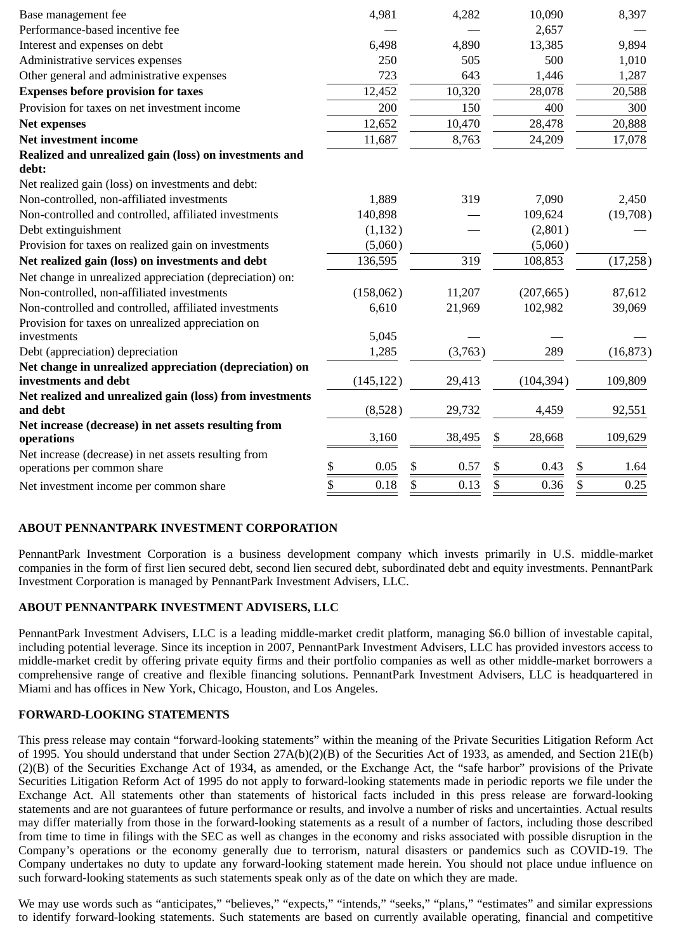| Base management fee                                                                 | 4,981      | 4,282      | 10,090       | 8,397      |
|-------------------------------------------------------------------------------------|------------|------------|--------------|------------|
| Performance-based incentive fee                                                     |            |            | 2,657        |            |
| Interest and expenses on debt                                                       | 6,498      | 4,890      | 13,385       | 9,894      |
| Administrative services expenses                                                    | 250        | 505        | 500          | 1,010      |
| Other general and administrative expenses                                           | 723        | 643        | 1,446        | 1,287      |
| <b>Expenses before provision for taxes</b>                                          | 12,452     | 10,320     | 28,078       | 20,588     |
| Provision for taxes on net investment income                                        | 200        | 150        | 400          | 300        |
| <b>Net expenses</b>                                                                 | 12,652     | 10,470     | 28,478       | 20,888     |
| <b>Net investment income</b>                                                        | 11,687     | 8,763      | 24,209       | 17,078     |
| Realized and unrealized gain (loss) on investments and                              |            |            |              |            |
| debt:                                                                               |            |            |              |            |
| Net realized gain (loss) on investments and debt:                                   |            |            |              |            |
| Non-controlled, non-affiliated investments                                          | 1,889      | 319        | 7,090        | 2,450      |
| Non-controlled and controlled, affiliated investments                               | 140,898    |            | 109,624      | (19,708)   |
| Debt extinguishment                                                                 | (1, 132)   |            | (2,801)      |            |
| Provision for taxes on realized gain on investments                                 | (5,060)    |            | (5,060)      |            |
| Net realized gain (loss) on investments and debt                                    | 136,595    | 319        | 108,853      | (17,258)   |
| Net change in unrealized appreciation (depreciation) on:                            |            |            |              |            |
| Non-controlled, non-affiliated investments                                          | (158,062)  | 11,207     | (207, 665)   | 87,612     |
| Non-controlled and controlled, affiliated investments                               | 6,610      | 21,969     | 102,982      | 39,069     |
| Provision for taxes on unrealized appreciation on                                   |            |            |              |            |
| investments                                                                         | 5,045      |            |              |            |
| Debt (appreciation) depreciation                                                    | 1,285      | (3,763)    | 289          | (16, 873)  |
| Net change in unrealized appreciation (depreciation) on<br>investments and debt     | (145, 122) | 29,413     | (104, 394)   | 109,809    |
| Net realized and unrealized gain (loss) from investments                            |            |            |              |            |
| and debt                                                                            | (8,528)    | 29,732     | 4,459        | 92,551     |
| Net increase (decrease) in net assets resulting from<br>operations                  | 3,160      | 38,495     | \$<br>28,668 | 109,629    |
| Net increase (decrease) in net assets resulting from<br>operations per common share | \$<br>0.05 | \$<br>0.57 | \$<br>0.43   | \$<br>1.64 |
| Net investment income per common share                                              | \$<br>0.18 | \$<br>0.13 | \$<br>0.36   | \$<br>0.25 |

# **ABOUT PENNANTPARK INVESTMENT CORPORATION**

PennantPark Investment Corporation is a business development company which invests primarily in U.S. middle-market companies in the form of first lien secured debt, second lien secured debt, subordinated debt and equity investments. PennantPark Investment Corporation is managed by PennantPark Investment Advisers, LLC.

# **ABOUT PENNANTPARK INVESTMENT ADVISERS, LLC**

PennantPark Investment Advisers, LLC is a leading middle-market credit platform, managing \$6.0 billion of investable capital, including potential leverage. Since its inception in 2007, PennantPark Investment Advisers, LLC has provided investors access to middle-market credit by offering private equity firms and their portfolio companies as well as other middle-market borrowers a comprehensive range of creative and flexible financing solutions. PennantPark Investment Advisers, LLC is headquartered in Miami and has offices in New York, Chicago, Houston, and Los Angeles.

# **FORWARD-LOOKING STATEMENTS**

This press release may contain "forward-looking statements" within the meaning of the Private Securities Litigation Reform Act of 1995. You should understand that under Section 27A(b)(2)(B) of the Securities Act of 1933, as amended, and Section 21E(b) (2)(B) of the Securities Exchange Act of 1934, as amended, or the Exchange Act, the "safe harbor" provisions of the Private Securities Litigation Reform Act of 1995 do not apply to forward-looking statements made in periodic reports we file under the Exchange Act. All statements other than statements of historical facts included in this press release are forward-looking statements and are not guarantees of future performance or results, and involve a number of risks and uncertainties. Actual results may differ materially from those in the forward-looking statements as a result of a number of factors, including those described from time to time in filings with the SEC as well as changes in the economy and risks associated with possible disruption in the Company's operations or the economy generally due to terrorism, natural disasters or pandemics such as COVID-19. The Company undertakes no duty to update any forward-looking statement made herein. You should not place undue influence on such forward-looking statements as such statements speak only as of the date on which they are made.

We may use words such as "anticipates," "believes," "expects," "intends," "seeks," "plans," "estimates" and similar expressions to identify forward-looking statements. Such statements are based on currently available operating, financial and competitive